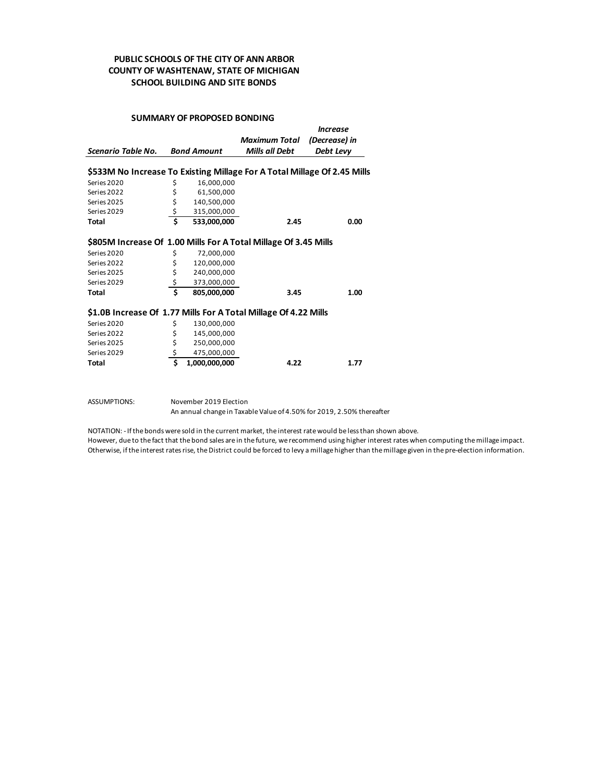### **PUBLIC SCHOOLS OF THE CITY OF ANN ARBOR COUNTY OF WASHTENAW, STATE OF MICHIGAN SCHOOL BUILDING AND SITE BONDS**

#### **SUMMARY OF PROPOSED BONDING**

|                                                                          |    |                    | Maximum Total         | (Decrease) in |  |  |
|--------------------------------------------------------------------------|----|--------------------|-----------------------|---------------|--|--|
| Scenario Table No.                                                       |    | <b>Bond Amount</b> | <b>Mills all Debt</b> | Debt Levy     |  |  |
|                                                                          |    |                    |                       |               |  |  |
| \$533M No Increase To Existing Millage For A Total Millage Of 2.45 Mills |    |                    |                       |               |  |  |
| Series 2020                                                              | \$ | 16,000,000         |                       |               |  |  |
| Series 2022                                                              | \$ | 61,500,000         |                       |               |  |  |
| Series 2025                                                              | \$ | 140,500,000        |                       |               |  |  |
| Series 2029                                                              | \$ | 315,000,000        |                       |               |  |  |
| Total                                                                    | \$ | 533,000,000        | 2.45                  | 0.00          |  |  |
|                                                                          |    |                    |                       |               |  |  |
| \$805M Increase Of 1.00 Mills For A Total Millage Of 3.45 Mills          |    |                    |                       |               |  |  |
| Series 2020                                                              | \$ | 72,000,000         |                       |               |  |  |
| Series 2022                                                              | \$ | 120,000,000        |                       |               |  |  |
| Series 2025                                                              | \$ | 240,000,000        |                       |               |  |  |
| Series 2029                                                              | \$ | 373,000,000        |                       |               |  |  |
| Total                                                                    | Ś  | 805,000,000        | 3.45                  | 1.00          |  |  |
|                                                                          |    |                    |                       |               |  |  |
| \$1.0B Increase Of 1.77 Mills For A Total Millage Of 4.22 Mills          |    |                    |                       |               |  |  |
| Series 2020                                                              | \$ | 130,000,000        |                       |               |  |  |
| Series 2022                                                              | \$ | 145,000,000        |                       |               |  |  |
| Series 2025                                                              | \$ | 250,000,000        |                       |               |  |  |

| Total       | 1,000,000,000 | 4.22 | 1.77 |
|-------------|---------------|------|------|
| Series 2029 | 475.000.000   |      |      |
| Series 2025 | 250.000.000   |      |      |
| Series 2022 | 145.000.000   |      |      |

ASSUMPTIONS: November 2019 Election

An annual change in Taxable Value of 4.50% for 2019, 2.50% thereafter

NOTATION: - If the bonds were sold in the current market, the interest rate would be less than shown above.

However, due to the fact that the bond sales are in the future, we recommend using higher interest rates when computing the millage impact. Otherwise, if the interest rates rise, the District could be forced to levy a millage higher than the millage given in the pre-election information.

*Increase*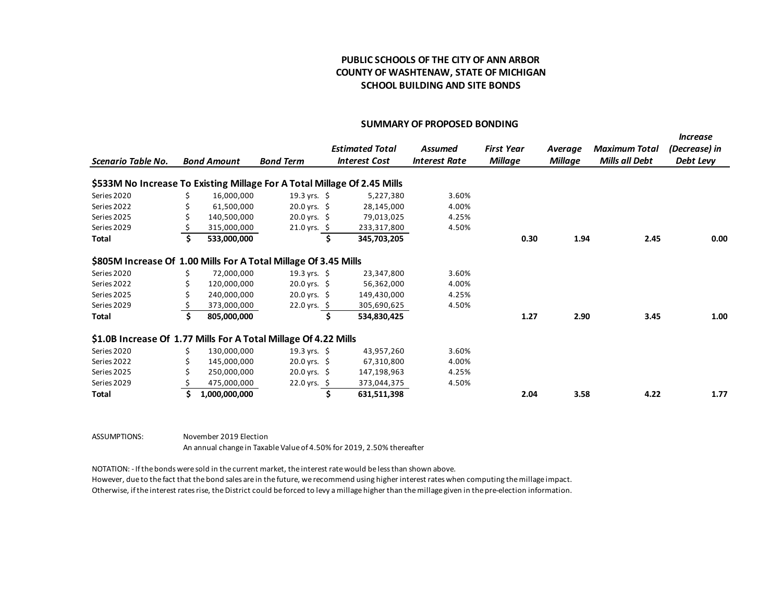### **PUBLIC SCHOOLS OF THE CITY OF ANN ARBOR COUNTY OF WASHTENAW, STATE OF MICHIGAN SCHOOL BUILDING AND SITE BONDS**

#### **SUMMARY OF PROPOSED BONDING**

|                                                                          |                    |                         |                        |                      |                   |                |                      | <b>Increase</b> |
|--------------------------------------------------------------------------|--------------------|-------------------------|------------------------|----------------------|-------------------|----------------|----------------------|-----------------|
|                                                                          |                    |                         | <b>Estimated Total</b> | <b>Assumed</b>       | <b>First Year</b> | Average        | <b>Maximum Total</b> | (Decrease) in   |
| Scenario Table No.                                                       | <b>Bond Amount</b> | <b>Bond Term</b>        | <b>Interest Cost</b>   | <b>Interest Rate</b> | <b>Millage</b>    | <b>Millage</b> | Mills all Debt       | Debt Levy       |
| \$533M No Increase To Existing Millage For A Total Millage Of 2.45 Mills |                    |                         |                        |                      |                   |                |                      |                 |
| Series 2020                                                              | 16,000,000         | 19.3 yrs. $$$           | 5,227,380              | 3.60%                |                   |                |                      |                 |
| Series 2022                                                              | 61,500,000         | $20.0$ yrs. \$          | 28,145,000             | 4.00%                |                   |                |                      |                 |
| Series 2025                                                              | 140,500,000        | $20.0$ yrs. \$          | 79,013,025             | 4.25%                |                   |                |                      |                 |
| Series 2029                                                              | 315,000,000        | 21.0 yrs. \$            | 233,317,800            | 4.50%                |                   |                |                      |                 |
| Total                                                                    | 533,000,000        |                         | 345,703,205            |                      | 0.30              | 1.94           | 2.45                 | 0.00            |
| \$805M Increase Of 1.00 Mills For A Total Millage Of 3.45 Mills          |                    |                         |                        |                      |                   |                |                      |                 |
| Series 2020                                                              | 72,000,000         | 19.3 yrs. $\frac{1}{2}$ | 23,347,800             | 3.60%                |                   |                |                      |                 |
| Series 2022                                                              | 120,000,000        | $20.0$ yrs. \$          | 56,362,000             | 4.00%                |                   |                |                      |                 |
| Series 2025                                                              | 240,000,000        | $20.0$ yrs. \$          | 149,430,000            | 4.25%                |                   |                |                      |                 |
| Series 2029                                                              | 373,000,000        | 22.0 yrs. \$            | 305,690,625            | 4.50%                |                   |                |                      |                 |
| Total                                                                    | 805,000,000        |                         | 534,830,425            |                      | 1.27              | 2.90           | 3.45                 | 1.00            |
| \$1.0B Increase Of 1.77 Mills For A Total Millage Of 4.22 Mills          |                    |                         |                        |                      |                   |                |                      |                 |
| Series 2020                                                              | 130,000,000        | 19.3 yrs. $\frac{1}{2}$ | 43,957,260             | 3.60%                |                   |                |                      |                 |
| Series 2022                                                              | 145,000,000        | $20.0$ yrs. \$          | 67,310,800             | 4.00%                |                   |                |                      |                 |
| Series 2025                                                              | 250,000,000        | $20.0$ yrs. \$          | 147,198,963            | 4.25%                |                   |                |                      |                 |
| Series 2029                                                              | 475,000,000        | 22.0 yrs. \$            | 373,044,375            | 4.50%                |                   |                |                      |                 |
| Total                                                                    | 1,000,000,000      |                         | 631,511,398            |                      | 2.04              | 3.58           | 4.22                 | 1.77            |

ASSUMPTIONS: November 2019 Election An annual change in Taxable Value of 4.50% for 2019, 2.50% thereafter

NOTATION: - If the bonds were sold in the current market, the interest rate would be less than shown above.

However, due to the fact that the bond sales are in the future, we recommend using higher interest rates when computing the millage impact. Otherwise, if the interest rates rise, the District could be forced to levy a millage higher than the millage given in the pre-election information.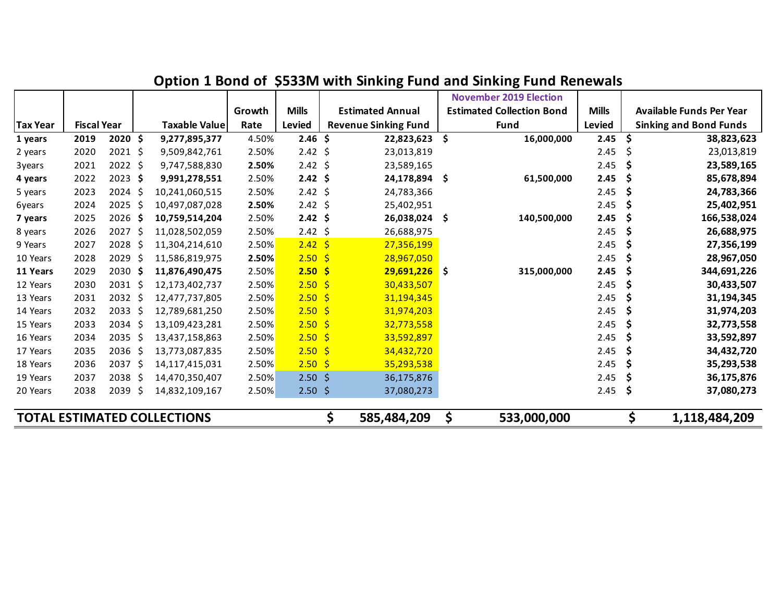|                                    |                    |                   |     |                      |        |                   |              |                             | <b>November 2019 Election</b>    |              |    |                                 |
|------------------------------------|--------------------|-------------------|-----|----------------------|--------|-------------------|--------------|-----------------------------|----------------------------------|--------------|----|---------------------------------|
|                                    |                    |                   |     |                      | Growth | <b>Mills</b>      |              | <b>Estimated Annual</b>     | <b>Estimated Collection Bond</b> | <b>Mills</b> |    | <b>Available Funds Per Year</b> |
| <b>Tax Year</b>                    | <b>Fiscal Year</b> |                   |     | <b>Taxable Value</b> | Rate   | Levied            |              | <b>Revenue Sinking Fund</b> | <b>Fund</b>                      | Levied       |    | <b>Sinking and Bond Funds</b>   |
| 1 years                            | 2019               | 2020 S            |     | 9,277,895,377        | 4.50%  | 2.46 <sub>5</sub> |              | 22,823,623                  | \$<br>16,000,000                 | 2.45         | S  | 38,823,623                      |
| 2 years                            | 2020               | $2021$ \$         |     | 9,509,842,761        | 2.50%  | 2.42              | \$           | 23,013,819                  |                                  | 2.45         | \$ | 23,013,819                      |
| 3years                             | 2021               | $2022$ \$         |     | 9,747,588,830        | 2.50%  | 2.42              | -\$          | 23,589,165                  |                                  | 2.45         | \$ | 23,589,165                      |
| 4 years                            | 2022               | $2023$ \$         |     | 9,991,278,551        | 2.50%  | $2.42 \div$       |              | 24,178,894                  | \$<br>61,500,000                 | 2.45         | S  | 85,678,894                      |
| 5 years                            | 2023               | 2024 \$           |     | 10,241,060,515       | 2.50%  | $2.42 \div$       |              | 24,783,366                  |                                  | 2.45         | S  | 24,783,366                      |
| 6years                             | 2024               | 2025              | -\$ | 10,497,087,028       | 2.50%  | $2.42 \div$       |              | 25,402,951                  |                                  | 2.45         |    | 25,402,951                      |
| 7 years                            | 2025               | 2026 \$           |     | 10,759,514,204       | 2.50%  | $2.42 \div$       |              | 26,038,024                  | \$<br>140,500,000                | 2.45         | S  | 166,538,024                     |
| 8 years                            | 2026               | 2027 \$           |     | 11,028,502,059       | 2.50%  | 2.42              | -\$          | 26,688,975                  |                                  | 2.45         | Ş  | 26,688,975                      |
| 9 Years                            | 2027               | 2028              | -\$ | 11,304,214,610       | 2.50%  | $2.42 \div$       |              | 27,356,199                  |                                  | 2.45         | \$ | 27,356,199                      |
| 10 Years                           | 2028               | 2029              | -\$ | 11,586,819,975       | 2.50%  | 2.50              | $\mathsf{S}$ | 28,967,050                  |                                  | 2.45         | \$ | 28,967,050                      |
| 11 Years                           | 2029               | 2030 \$           |     | 11,876,490,475       | 2.50%  | 2.50              | -\$          | $29,691,226$ \$             | 315,000,000                      | 2.45         | S  | 344,691,226                     |
| 12 Years                           | 2030               | 2031 \$           |     | 12,173,402,737       | 2.50%  | 2.50%             |              | 30,433,507                  |                                  | 2.45         |    | 30,433,507                      |
| 13 Years                           | 2031               | 2032 \$           |     | 12,477,737,805       | 2.50%  | 2.50%             |              | 31,194,345                  |                                  | 2.45         | S  | 31,194,345                      |
| 14 Years                           | 2032               | 2033 \$           |     | 12,789,681,250       | 2.50%  | 2.50%             |              | 31,974,203                  |                                  | 2.45         | S  | 31,974,203                      |
| 15 Years                           | 2033               | 2034 \$           |     | 13,109,423,281       | 2.50%  | 2.50%             |              | 32,773,558                  |                                  | 2.45         | \$ | 32,773,558                      |
| 16 Years                           | 2034               | 2035 <sub>5</sub> |     | 13,437,158,863       | 2.50%  | 2.50%             |              | 33,592,897                  |                                  | 2.45         | S  | 33,592,897                      |
| 17 Years                           | 2035               | 2036 \$           |     | 13,773,087,835       | 2.50%  | $2.50 \;$ \$      |              | 34,432,720                  |                                  | 2.45         | \$ | 34,432,720                      |
| 18 Years                           | 2036               | 2037 S            |     | 14,117,415,031       | 2.50%  | 2.50%             |              | 35,293,538                  |                                  | 2.45         | S  | 35,293,538                      |
| 19 Years                           | 2037               | 2038S             |     | 14,470,350,407       | 2.50%  | 2.50%             |              | 36,175,876                  |                                  | 2.45         | Ş  | 36,175,876                      |
| 20 Years                           | 2038               | 2039              | - Ś | 14,832,109,167       | 2.50%  | 2.50%             |              | 37,080,273                  |                                  | 2.45         | \$ | 37,080,273                      |
| <b>TOTAL ESTIMATED COLLECTIONS</b> |                    |                   |     |                      |        |                   | \$           | 585,484,209                 | \$<br>533,000,000                |              | \$ | 1,118,484,209                   |

# **Option 1 Bond of \$533M with Sinking Fund and Sinking Fund Renewals**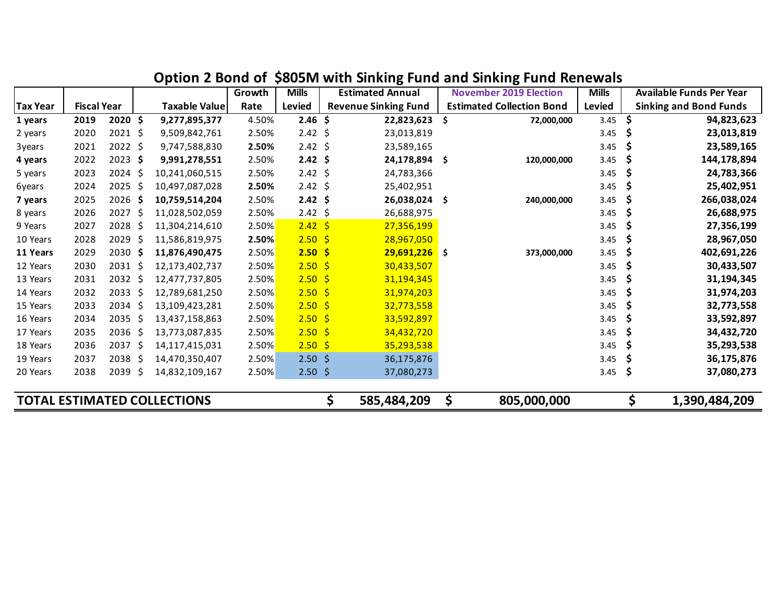|                                    |                    |                   |     |                      | Growth | <b>Mills</b>     |     | <b>Estimated Annual</b>     |     | <b>November 2019 Election</b>    | <b>Mills</b> |     | <b>Available Funds Per Year</b> |
|------------------------------------|--------------------|-------------------|-----|----------------------|--------|------------------|-----|-----------------------------|-----|----------------------------------|--------------|-----|---------------------------------|
| <b>Tax Year</b>                    | <b>Fiscal Year</b> |                   |     | <b>Taxable Value</b> | Rate   | <b>Levied</b>    |     | <b>Revenue Sinking Fund</b> |     | <b>Estimated Collection Bond</b> | Levied       |     | <b>Sinking and Bond Funds</b>   |
| 1 years                            | 2019               | 2020 \$           |     | 9,277,895,377        | 4.50%  | $2.46 \; \simeq$ |     | 22,823,623                  | \$. | 72,000,000                       | 3.45         | \$  | 94,823,623                      |
| 2 years                            | 2020               | $2021$ \$         |     | 9,509,842,761        | 2.50%  | $2.42 \div$      |     | 23,013,819                  |     |                                  | 3.45         | \$  | 23,013,819                      |
| 3years                             | 2021               | $2022$ \$         |     | 9,747,588,830        | 2.50%  | $2.42 \div$      |     | 23,589,165                  |     |                                  | 3.45         | \$  | 23,589,165                      |
| 4 years                            | 2022               | $2023$ \$         |     | 9,991,278,551        | 2.50%  | $2.42 \div$      |     | 24,178,894                  | Ŝ.  | 120,000,000                      | 3.45         | \$  | 144,178,894                     |
| 5 years                            | 2023               | $2024$ \$         |     | 10,241,060,515       | 2.50%  | $2.42 \div$      |     | 24,783,366                  |     |                                  | 3.45         | \$  | 24,783,366                      |
| 6years                             | 2024               | $2025$ \$         |     | 10,497,087,028       | 2.50%  | $2.42 \div$      |     | 25,402,951                  |     |                                  | 3.45         | Ş   | 25,402,951                      |
| 7 years                            | 2025               | 2026              | -\$ | 10,759,514,204       | 2.50%  | 2.42             | -\$ | 26,038,024                  | -\$ | 240,000,000                      | 3.45         | \$  | 266,038,024                     |
| 8 years                            | 2026               | 2027              | -\$ | 11,028,502,059       | 2.50%  | 2.42             | -\$ | 26,688,975                  |     |                                  | 3.45         | Ş   | 26,688,975                      |
| 9 Years                            | 2027               | 2028              | \$  | 11,304,214,610       | 2.50%  | $2.42 \div$      |     | 27,356,199                  |     |                                  | 3.45         | Ş   | 27,356,199                      |
| 10 Years                           | 2028               | 2029              | -\$ | 11,586,819,975       | 2.50%  | 2.50             | -\$ | 28,967,050                  |     |                                  | 3.45         | Ş   | 28,967,050                      |
| 11 Years                           | 2029               | 2030 \$           |     | 11,876,490,475       | 2.50%  | 2.50             | -\$ | $29,691,226$ \$             |     | 373,000,000                      | 3.45         | \$  | 402,691,226                     |
| 12 Years                           | 2030               | $2031$ \$         |     | 12,173,402,737       | 2.50%  | 2.50%            |     | 30,433,507                  |     |                                  | 3.45         | \$  | 30,433,507                      |
| 13 Years                           | 2031               | 2032 <sub>5</sub> |     | 12,477,737,805       | 2.50%  | 2.50%            |     | 31,194,345                  |     |                                  | 3.45         | \$, | 31,194,345                      |
| 14 Years                           | 2032               | $2033 \; \simeq$  |     | 12,789,681,250       | 2.50%  | $2.50 \;$ \$     |     | 31,974,203                  |     |                                  | 3.45         | Ş   | 31,974,203                      |
| 15 Years                           | 2033               | $2034$ \$         |     | 13,109,423,281       | 2.50%  | 2.50%            |     | 32,773,558                  |     |                                  | 3.45         | \$, | 32,773,558                      |
| 16 Years                           | 2034               | 2035              | -\$ | 13,437,158,863       | 2.50%  | 2.50%            |     | 33,592,897                  |     |                                  | 3.45         | \$  | 33,592,897                      |
| 17 Years                           | 2035               | 2036 \$           |     | 13,773,087,835       | 2.50%  | 2.50%            |     | 34,432,720                  |     |                                  | 3.45         | S   | 34,432,720                      |
| 18 Years                           | 2036               | 2037 \$           |     | 14,117,415,031       | 2.50%  | 2.50%            |     | 35,293,538                  |     |                                  | 3.45         | \$  | 35,293,538                      |
| 19 Years                           | 2037               | 2038              | -S  | 14,470,350,407       | 2.50%  | $2.50\;$ \$      |     | 36,175,876                  |     |                                  | 3.45         | \$  | 36,175,876                      |
| 20 Years                           | 2038               | 2039              | -S  | 14,832,109,167       | 2.50%  | 2.50%            |     | 37,080,273                  |     |                                  | 3.45         | \$  | 37,080,273                      |
| <b>TOTAL ESTIMATED COLLECTIONS</b> |                    |                   |     |                      |        |                  | \$  | 585,484,209                 | \$  | 805,000,000                      |              | \$  | 1,390,484,209                   |

### **Option 2 Bond of \$805M with Sinking Fund and Sinking Fund Renewals**